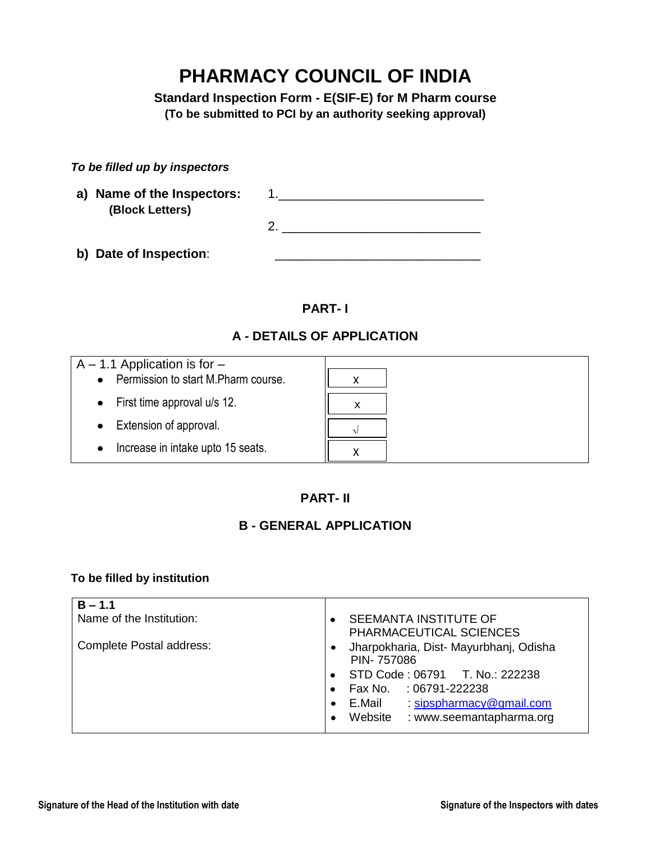# **PHARMACY COUNCIL OF INDIA**

**Standard Inspection Form - E(SIF-E) for M Pharm course (To be submitted to PCI by an authority seeking approval)**

| To be filled up by inspectors |  |  |
|-------------------------------|--|--|
|-------------------------------|--|--|

| a) Name of the Inspectors:<br>(Block Letters) |  |
|-----------------------------------------------|--|
|                                               |  |
|                                               |  |
|                                               |  |

**b)** Date of Inspection:

### **PART- I**

### **A - DETAILS OF APPLICATION**

| $A - 1.1$ Application is for $-$<br>• Permission to start M. Pharm course. |          |
|----------------------------------------------------------------------------|----------|
| $\bullet$ First time approval u/s 12.                                      |          |
| • Extension of approval.                                                   | $\Delta$ |
| Increase in intake upto 15 seats.<br>$\bullet$                             |          |

### **PART- II**

### **B - GENERAL APPLICATION**

#### **To be filled by institution**

| $B - 1.1$                |                                                  |
|--------------------------|--------------------------------------------------|
| Name of the Institution: | SEEMANTA INSTITUTE OF                            |
|                          | PHARMACEUTICAL SCIENCES                          |
| Complete Postal address: | Jharpokharia, Dist- Mayurbhanj, Odisha           |
|                          | PIN-757086                                       |
|                          | STD Code: 06791 T. No.: 222238                   |
|                          |                                                  |
|                          | Fax No. : 06791-222238                           |
|                          | sipspharmacy@gmail.com<br>E.Mail                 |
|                          | Website<br>: www.seemantapharma.org<br>$\bullet$ |
|                          |                                                  |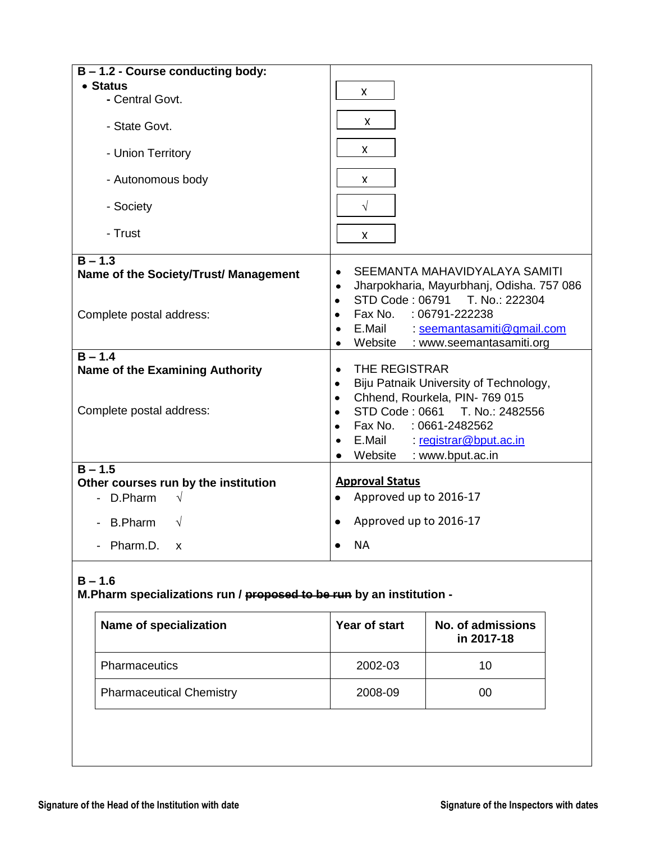| B - 1.2 - Course conducting body:      |                                                                                             |
|----------------------------------------|---------------------------------------------------------------------------------------------|
| • Status                               | X                                                                                           |
| - Central Govt.                        |                                                                                             |
| - State Govt.                          | $\pmb{\times}$                                                                              |
| - Union Territory                      | X                                                                                           |
| - Autonomous body                      | X                                                                                           |
| - Society                              | $\sqrt{}$                                                                                   |
| - Trust                                | X                                                                                           |
| $B - 1.3$                              |                                                                                             |
| Name of the Society/Trust/ Management  | SEEMANTA MAHAVIDYALAYA SAMITI<br>$\bullet$                                                  |
|                                        | Jharpokharia, Mayurbhanj, Odisha. 757 086<br>$\bullet$                                      |
|                                        | STD Code: 06791<br>T. No.: 222304<br>$\bullet$<br>Fax No.<br>$:06791 - 222238$<br>$\bullet$ |
| Complete postal address:               | E.Mail : seemantasamiti@gmail.com<br>$\bullet$                                              |
|                                        | Website : www.seemantasamiti.org<br>$\bullet$                                               |
| $B - 1.4$                              |                                                                                             |
| <b>Name of the Examining Authority</b> | THE REGISTRAR<br>$\bullet$                                                                  |
|                                        | Biju Patnaik University of Technology,<br>$\bullet$                                         |
|                                        | Chhend, Rourkela, PIN-769 015<br>$\bullet$                                                  |
| Complete postal address:               | STD Code: 0661 T. No.: 2482556<br>$\bullet$<br>Fax No. : 0661-2482562                       |
|                                        | E.Mail registrar@bput.ac.in                                                                 |
|                                        | Website : www.bput.ac.in<br>$\bullet$                                                       |
| $B - 1.5$                              |                                                                                             |
| Other courses run by the institution   | <b>Approval Status</b>                                                                      |
| $\sqrt{ }$<br>- D.Pharm                | Approved up to 2016-17<br>$\bullet$                                                         |
| $\sqrt{ }$<br><b>B.Pharm</b>           | Approved up to 2016-17<br>$\bullet$                                                         |
| Pharm.D.<br>X                          | <b>NA</b>                                                                                   |

### **B – 1.6**

**M.Pharm specializations run / proposed to be run by an institution -**

| Name of specialization          | Year of start | <b>No. of admissions</b><br>in 2017-18 |
|---------------------------------|---------------|----------------------------------------|
| <b>Pharmaceutics</b>            | 2002-03       | 10                                     |
| <b>Pharmaceutical Chemistry</b> | 2008-09       | 00                                     |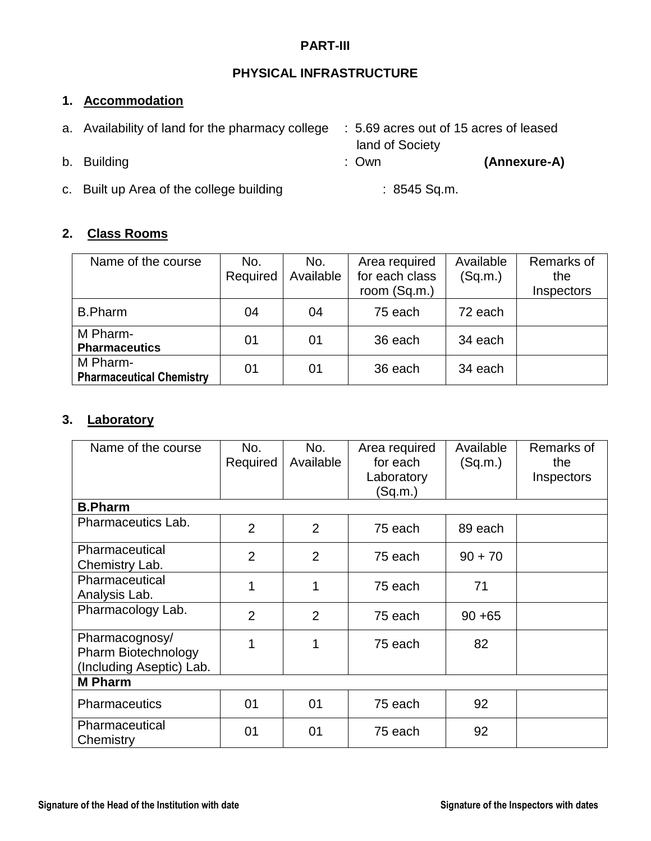### **PART-III**

### **PHYSICAL INFRASTRUCTURE**

### **1. Accommodation**

| a. Availability of land for the pharmacy college |                                          | : 5.69 acres out of 15 acres of leased<br>land of Society |              |
|--------------------------------------------------|------------------------------------------|-----------------------------------------------------------|--------------|
|                                                  | b. Building                              | : Own                                                     | (Annexure-A) |
|                                                  | c. Built up Area of the college building | $: 8545$ Sq.m.                                            |              |

#### **2. Class Rooms**

| Name of the course                          | No.<br>Required | No.<br>Available | Area required<br>for each class<br>room (Sq.m.) | Available<br>(Sq.m.) | Remarks of<br>the<br>Inspectors |
|---------------------------------------------|-----------------|------------------|-------------------------------------------------|----------------------|---------------------------------|
| <b>B.Pharm</b>                              | 04              | 04               | 75 each                                         | 72 each              |                                 |
| M Pharm-<br><b>Pharmaceutics</b>            | 01              | 01               | 36 each                                         | 34 each              |                                 |
| M Pharm-<br><b>Pharmaceutical Chemistry</b> | 01              | 01               | 36 each                                         | 34 each              |                                 |

### **3. Laboratory**

| Name of the course                                                       | No.<br>Required | No.<br>Available | Area required<br>for each<br>Laboratory<br>(Sq.m.) | Available<br>(Sq.m.) | Remarks of<br>the<br>Inspectors |
|--------------------------------------------------------------------------|-----------------|------------------|----------------------------------------------------|----------------------|---------------------------------|
| <b>B.Pharm</b>                                                           |                 |                  |                                                    |                      |                                 |
| Pharmaceutics Lab.                                                       | $\overline{2}$  | $\overline{2}$   | 75 each                                            | 89 each              |                                 |
| Pharmaceutical<br>Chemistry Lab.                                         | $\overline{2}$  | $\overline{2}$   | 75 each                                            | $90 + 70$            |                                 |
| Pharmaceutical<br>Analysis Lab.                                          | 1               | 1                | 75 each                                            | 71                   |                                 |
| Pharmacology Lab.                                                        | $\overline{2}$  | $\overline{2}$   | 75 each                                            | $90 + 65$            |                                 |
| Pharmacognosy/<br><b>Pharm Biotechnology</b><br>(Including Aseptic) Lab. |                 | 1                | 75 each                                            | 82                   |                                 |
| <b>M</b> Pharm                                                           |                 |                  |                                                    |                      |                                 |
| <b>Pharmaceutics</b>                                                     | 01              | 01               | 75 each                                            | 92                   |                                 |
| Pharmaceutical<br>Chemistry                                              | 01              | 01               | 75 each                                            | 92                   |                                 |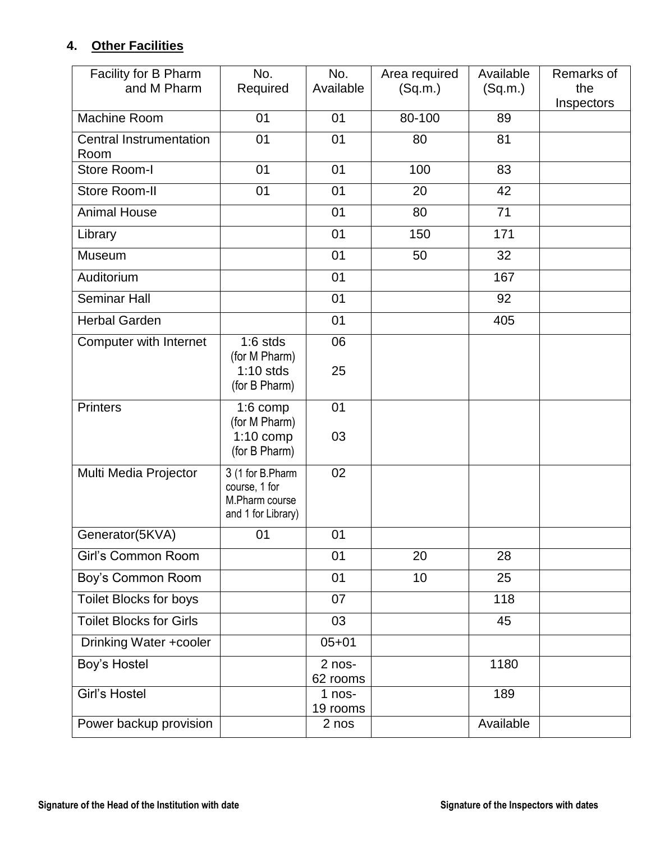### **4. Other Facilities**

| Facility for B Pharm<br>and M Pharm    | No.<br>Required                                                           | No.<br>Available   | Area required<br>(Sq.m.) | Available<br>(Sq.m.) | Remarks of<br>the |
|----------------------------------------|---------------------------------------------------------------------------|--------------------|--------------------------|----------------------|-------------------|
|                                        |                                                                           |                    |                          |                      | Inspectors        |
| <b>Machine Room</b>                    | 01                                                                        | 01                 | 80-100                   | 89                   |                   |
| <b>Central Instrumentation</b><br>Room | 01                                                                        | 01                 | 80                       | 81                   |                   |
| Store Room-I                           | 01                                                                        | 01                 | 100                      | 83                   |                   |
| Store Room-II                          | 01                                                                        | 01                 | 20                       | 42                   |                   |
| <b>Animal House</b>                    |                                                                           | 01                 | 80                       | 71                   |                   |
| Library                                |                                                                           | 01                 | 150                      | 171                  |                   |
| Museum                                 |                                                                           | 01                 | 50                       | 32                   |                   |
| Auditorium                             |                                                                           | 01                 |                          | 167                  |                   |
| <b>Seminar Hall</b>                    |                                                                           | 01                 |                          | 92                   |                   |
| <b>Herbal Garden</b>                   |                                                                           | 01                 |                          | 405                  |                   |
| Computer with Internet                 | $1:6$ stds                                                                | 06                 |                          |                      |                   |
|                                        | (for M Pharm)<br>$1:10$ stds<br>(for B Pharm)                             | 25                 |                          |                      |                   |
| <b>Printers</b>                        | $1:6$ comp<br>(for M Pharm)<br>$1:10$ comp                                | 01<br>03           |                          |                      |                   |
|                                        | (for B Pharm)                                                             |                    |                          |                      |                   |
| Multi Media Projector                  | 3 (1 for B.Pharm<br>course, 1 for<br>M.Pharm course<br>and 1 for Library) | 02                 |                          |                      |                   |
| Generator(5KVA)                        | 01                                                                        | 01                 |                          |                      |                   |
| Girl's Common Room                     |                                                                           | 01                 | 20                       | 28                   |                   |
| Boy's Common Room                      |                                                                           | 01                 | 10                       | 25                   |                   |
| Toilet Blocks for boys                 |                                                                           | 07                 |                          | 118                  |                   |
| <b>Toilet Blocks for Girls</b>         |                                                                           | 03                 |                          | 45                   |                   |
| Drinking Water +cooler                 |                                                                           | $05 + 01$          |                          |                      |                   |
| Boy's Hostel                           |                                                                           | 2 nos-<br>62 rooms |                          | 1180                 |                   |
| Girl's Hostel                          |                                                                           | 1 nos-<br>19 rooms |                          | 189                  |                   |
| Power backup provision                 |                                                                           | 2 nos              |                          | Available            |                   |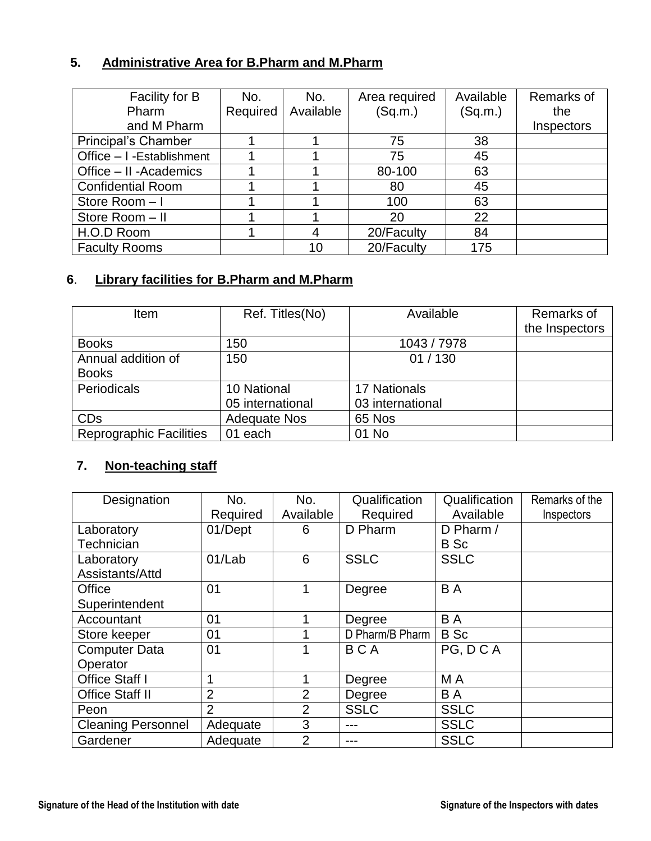### **5. Administrative Area for B.Pharm and M.Pharm**

| Facility for B             | No.      | No.       | Area required | Available | Remarks of |
|----------------------------|----------|-----------|---------------|-----------|------------|
| Pharm                      | Required | Available | (Sq.m.)       | (Sq.m.)   | the        |
| and M Pharm                |          |           |               |           | Inspectors |
| <b>Principal's Chamber</b> |          |           | 75            | 38        |            |
| Office - I -Establishment  |          |           | 75            | 45        |            |
| Office - II - Academics    |          |           | 80-100        | 63        |            |
| <b>Confidential Room</b>   |          |           | 80            | 45        |            |
| Store Room - I             |          |           | 100           | 63        |            |
| Store Room - II            |          |           | 20            | 22        |            |
| H.O.D Room                 |          | 4         | 20/Faculty    | 84        |            |
| <b>Faculty Rooms</b>       |          | 10        | 20/Faculty    | 175       |            |

### **6**. **Library facilities for B.Pharm and M.Pharm**

| <b>Item</b>                        | Ref. Titles(No)                 | Available                               | Remarks of<br>the Inspectors |
|------------------------------------|---------------------------------|-----------------------------------------|------------------------------|
| <b>Books</b>                       | 150                             | 1043 / 7978                             |                              |
| Annual addition of<br><b>Books</b> | 150                             | 01/130                                  |                              |
| Periodicals                        | 10 National<br>05 international | <b>17 Nationals</b><br>03 international |                              |
| <b>CD<sub>s</sub></b>              | <b>Adequate Nos</b>             | 65 Nos                                  |                              |
| <b>Reprographic Facilities</b>     | 01 each                         | 01 No                                   |                              |

### **7. Non-teaching staff**

| Designation               | No.            | No.            | Qualification   | Qualification | Remarks of the |
|---------------------------|----------------|----------------|-----------------|---------------|----------------|
|                           | Required       | Available      | Required        | Available     | Inspectors     |
| Laboratory                | 01/Dept        | 6              | D Pharm         | D Pharm /     |                |
| Technician                |                |                |                 | <b>B</b> Sc   |                |
| Laboratory                | 01/Lab         | 6              | <b>SSLC</b>     | <b>SSLC</b>   |                |
| Assistants/Attd           |                |                |                 |               |                |
| Office                    | 0 <sub>1</sub> |                | Degree          | B A           |                |
| Superintendent            |                |                |                 |               |                |
| Accountant                | 01             |                | Degree          | B A           |                |
| Store keeper              | 01             |                | D Pharm/B Pharm | <b>B</b> Sc   |                |
| <b>Computer Data</b>      | 01             |                | <b>BCA</b>      | PG, DCA       |                |
| Operator                  |                |                |                 |               |                |
| <b>Office Staff I</b>     | 4              |                | Degree          | M A           |                |
| <b>Office Staff II</b>    | $\overline{2}$ | $\overline{2}$ | Degree          | B A           |                |
| Peon                      | 2              | $\overline{2}$ | <b>SSLC</b>     | <b>SSLC</b>   |                |
| <b>Cleaning Personnel</b> | Adequate       | 3              | ---             | <b>SSLC</b>   |                |
| Gardener                  | Adequate       | $\overline{2}$ |                 | <b>SSLC</b>   |                |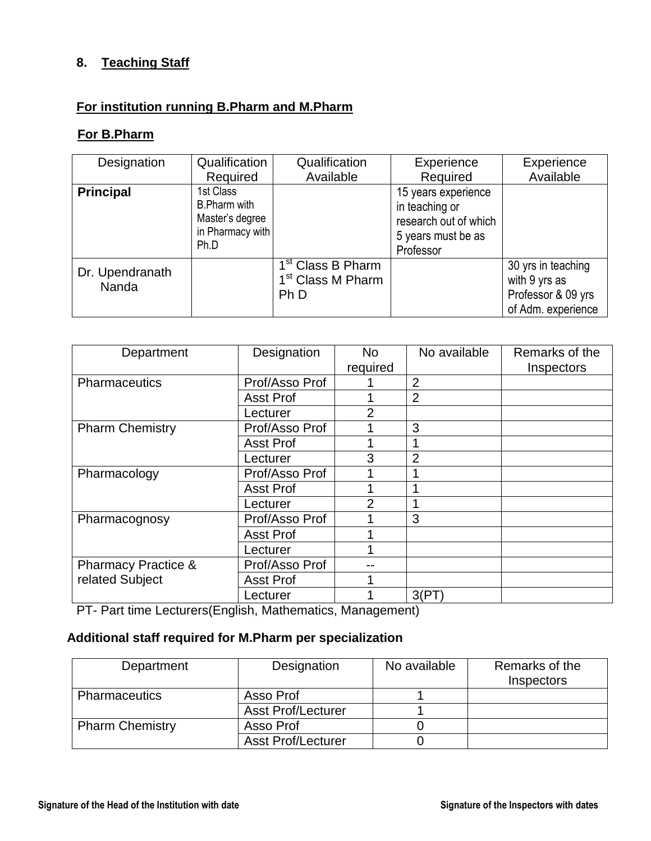#### **8. Teaching Staff**

### **For institution running B.Pharm and M.Pharm**

#### **For B.Pharm**

| Designation              | Qualification                                                                   | Qualification                                                              | Experience                                                                                        | Experience                                                                      |
|--------------------------|---------------------------------------------------------------------------------|----------------------------------------------------------------------------|---------------------------------------------------------------------------------------------------|---------------------------------------------------------------------------------|
|                          | Required                                                                        | Available                                                                  | Required                                                                                          | Available                                                                       |
| <b>Principal</b>         | 1st Class<br><b>B.Pharm with</b><br>Master's degree<br>in Pharmacy with<br>Ph.D |                                                                            | 15 years experience<br>in teaching or<br>research out of which<br>5 years must be as<br>Professor |                                                                                 |
| Dr. Upendranath<br>Nanda |                                                                                 | $\overline{1}^{st}$ Class B Pharm<br>1 <sup>st</sup> Class M Pharm<br>Ph D |                                                                                                   | 30 yrs in teaching<br>with 9 yrs as<br>Professor & 09 yrs<br>of Adm. experience |

| Department                     | Designation      | <b>No</b>      | No available   | Remarks of the |
|--------------------------------|------------------|----------------|----------------|----------------|
|                                |                  | required       |                | Inspectors     |
| <b>Pharmaceutics</b>           | Prof/Asso Prof   |                | $\overline{2}$ |                |
|                                | <b>Asst Prof</b> |                | $\overline{2}$ |                |
|                                | Lecturer         | 2              |                |                |
| <b>Pharm Chemistry</b>         | Prof/Asso Prof   |                | 3              |                |
|                                | <b>Asst Prof</b> |                |                |                |
|                                | Lecturer         | 3              | $\overline{2}$ |                |
| Pharmacology                   | Prof/Asso Prof   |                |                |                |
|                                | <b>Asst Prof</b> |                |                |                |
|                                | Lecturer         | $\overline{2}$ |                |                |
| Pharmacognosy                  | Prof/Asso Prof   |                | 3              |                |
|                                | <b>Asst Prof</b> |                |                |                |
|                                | Lecturer         |                |                |                |
| <b>Pharmacy Practice &amp;</b> | Prof/Asso Prof   |                |                |                |
| related Subject                | <b>Asst Prof</b> |                |                |                |
|                                | Lecturer         |                | 3(PT)          |                |

PT- Part time Lecturers(English, Mathematics, Management)

### **Additional staff required for M.Pharm per specialization**

| Department             | Designation               | No available | Remarks of the<br>Inspectors |
|------------------------|---------------------------|--------------|------------------------------|
| <b>Pharmaceutics</b>   | Asso Prof                 |              |                              |
|                        | <b>Asst Prof/Lecturer</b> |              |                              |
| <b>Pharm Chemistry</b> | Asso Prof                 |              |                              |
|                        | <b>Asst Prof/Lecturer</b> |              |                              |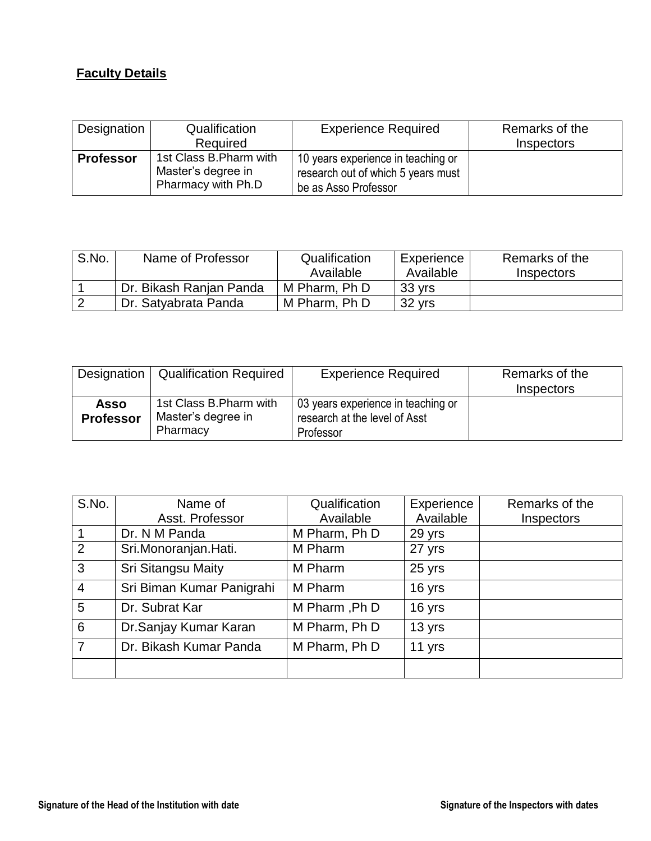# **Faculty Details**

| Designation      | Qualification                                                       | <b>Experience Required</b>                                                                       | Remarks of the                  |
|------------------|---------------------------------------------------------------------|--------------------------------------------------------------------------------------------------|---------------------------------|
|                  | Required                                                            |                                                                                                  | <i><u><b>Inspectors</b></u></i> |
| <b>Professor</b> | 1st Class B. Pharm with<br>Master's degree in<br>Pharmacy with Ph.D | 10 years experience in teaching or<br>research out of which 5 years must<br>be as Asso Professor |                                 |

| S.No. | Name of Professor       | Qualification<br>Available | Experience<br>Available | Remarks of the<br>Inspectors |
|-------|-------------------------|----------------------------|-------------------------|------------------------------|
|       | Dr. Bikash Ranjan Panda | M Pharm, Ph D              | 33 yrs                  |                              |
| -2    | Dr. Satyabrata Panda    | M Pharm, Ph D              | 32 yrs                  |                              |

| Designation                     | <b>Qualification Required</b>                             | <b>Experience Required</b>                                                       | Remarks of the<br>Inspectors |
|---------------------------------|-----------------------------------------------------------|----------------------------------------------------------------------------------|------------------------------|
| <b>Asso</b><br><b>Professor</b> | 1st Class B. Pharm with<br>Master's degree in<br>Pharmacy | 03 years experience in teaching or<br>research at the level of Asst<br>Professor |                              |

| S.No.           | Name of                   | Qualification | Experience | Remarks of the |
|-----------------|---------------------------|---------------|------------|----------------|
|                 | Asst. Professor           | Available     | Available  | Inspectors     |
| $\mathbf{1}$    | Dr. N M Panda             | M Pharm, Ph D | 29 yrs     |                |
| $\overline{2}$  | Sri.Monoranjan.Hati.      | M Pharm       | 27 yrs     |                |
| $\mathbf{3}$    | <b>Sri Sitangsu Maity</b> | M Pharm       | 25 yrs     |                |
| $\overline{4}$  | Sri Biman Kumar Panigrahi | M Pharm       | 16 yrs     |                |
| 5               | Dr. Subrat Kar            | M Pharm, Ph D | 16 yrs     |                |
| $6\phantom{1}6$ | Dr.Sanjay Kumar Karan     | M Pharm, Ph D | 13 yrs     |                |
| $\overline{7}$  | Dr. Bikash Kumar Panda    | M Pharm, Ph D | 11 yrs     |                |
|                 |                           |               |            |                |